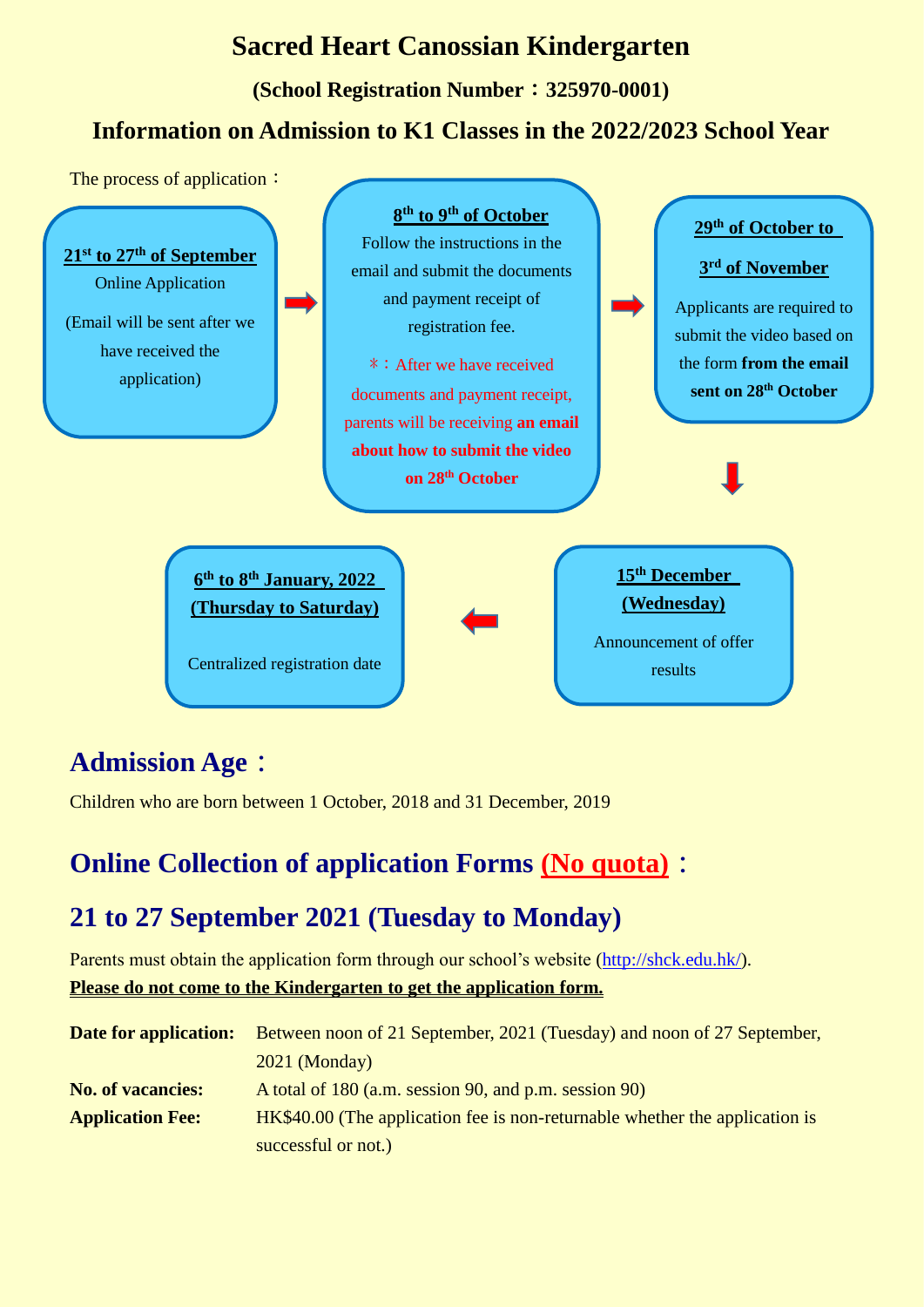### **Sacred Heart Canossian Kindergarten**

**(School Registration Number**:**325970-0001)**

#### **Information on Admission to K1 Classes in the 2022/2023 School Year**



## **Admission Age:**

Children who are born between 1 October, 2018 and 31 December, 2019

## **Online Collection of application Forms (No quota):**

## **21 to 27 September 2021 (Tuesday to Monday)**

Parents must obtain the application form through our school's website [\(http://shck.edu.hk/\)](http://shck.edu.hk/).

**Please do not come to the Kindergarten to get the application form.**

| <b>Date for application:</b> | Between noon of 21 September, 2021 (Tuesday) and noon of 27 September,      |
|------------------------------|-----------------------------------------------------------------------------|
|                              | $2021$ (Monday)                                                             |
| <b>No. of vacancies:</b>     | A total of 180 (a.m. session 90, and p.m. session 90)                       |
| <b>Application Fee:</b>      | HK\$40.00 (The application fee is non-returnable whether the application is |
|                              | successful or not.)                                                         |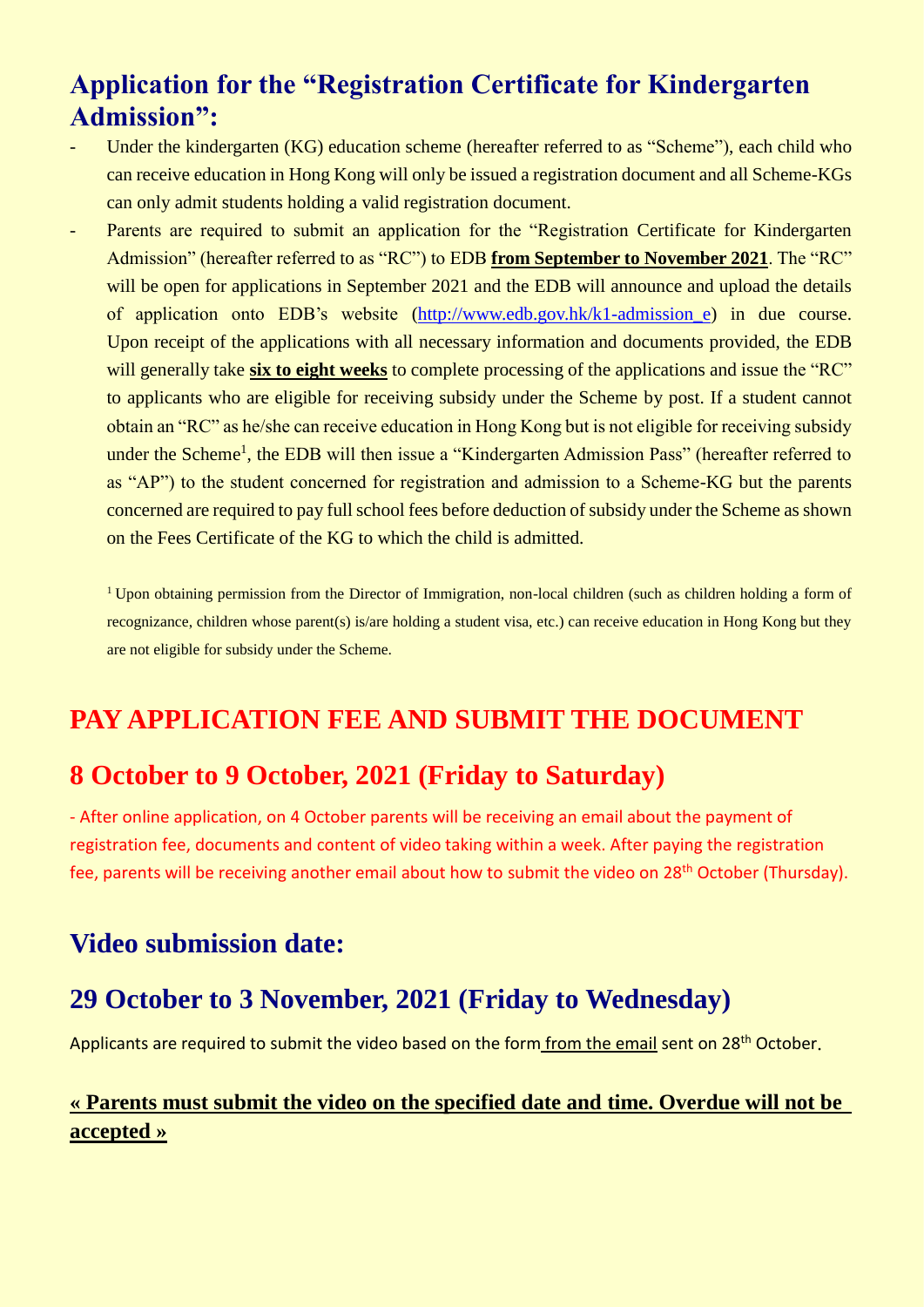### **Application for the "Registration Certificate for Kindergarten Admission":**

- Under the kindergarten (KG) education scheme (hereafter referred to as "Scheme"), each child who can receive education in Hong Kong will only be issued a registration document and all Scheme-KGs can only admit students holding a valid registration document.
- Parents are required to submit an application for the "Registration Certificate for Kindergarten" Admission" (hereafter referred to as "RC") to EDB **from September to November 2021**. The "RC" will be open for applications in September 2021 and the EDB will announce and upload the details of application onto EDB's website [\(http://www.edb.gov.hk/k1-admission\\_e\)](http://www.edb.gov.hk/k1-admission_e) in due course. Upon receipt of the applications with all necessary information and documents provided, the EDB will generally take **six to eight weeks** to complete processing of the applications and issue the "RC" to applicants who are eligible for receiving subsidy under the Scheme by post. If a student cannot obtain an "RC" as he/she can receive education in Hong Kong but is not eligible for receiving subsidy under the Scheme<sup>1</sup>, the EDB will then issue a "Kindergarten Admission Pass" (hereafter referred to as "AP") to the student concerned for registration and admission to a Scheme-KG but the parents concerned are required to pay full school fees before deduction of subsidy under the Scheme as shown on the Fees Certificate of the KG to which the child is admitted.

<sup>1</sup> Upon obtaining permission from the Director of Immigration, non-local children (such as children holding a form of recognizance, children whose parent(s) is/are holding a student visa, etc.) can receive education in Hong Kong but they are not eligible for subsidy under the Scheme.

### **PAY APPLICATION FEE AND SUBMIT THE DOCUMENT**

#### **8 October to 9 October, 2021 (Friday to Saturday)**

- After online application, on 4 October parents will be receiving an email about the payment of registration fee, documents and content of video taking within a week. After paying the registration fee, parents will be receiving another email about how to submit the video on 28<sup>th</sup> October (Thursday).

#### **Video submission date:**

#### **29 October to 3 November, 2021 (Friday to Wednesday)**

Applicants are required to submit the video based on the form from the email sent on 28<sup>th</sup> October.

#### **« Parents must submit the video on the specified date and time. Overdue will not be accepted »**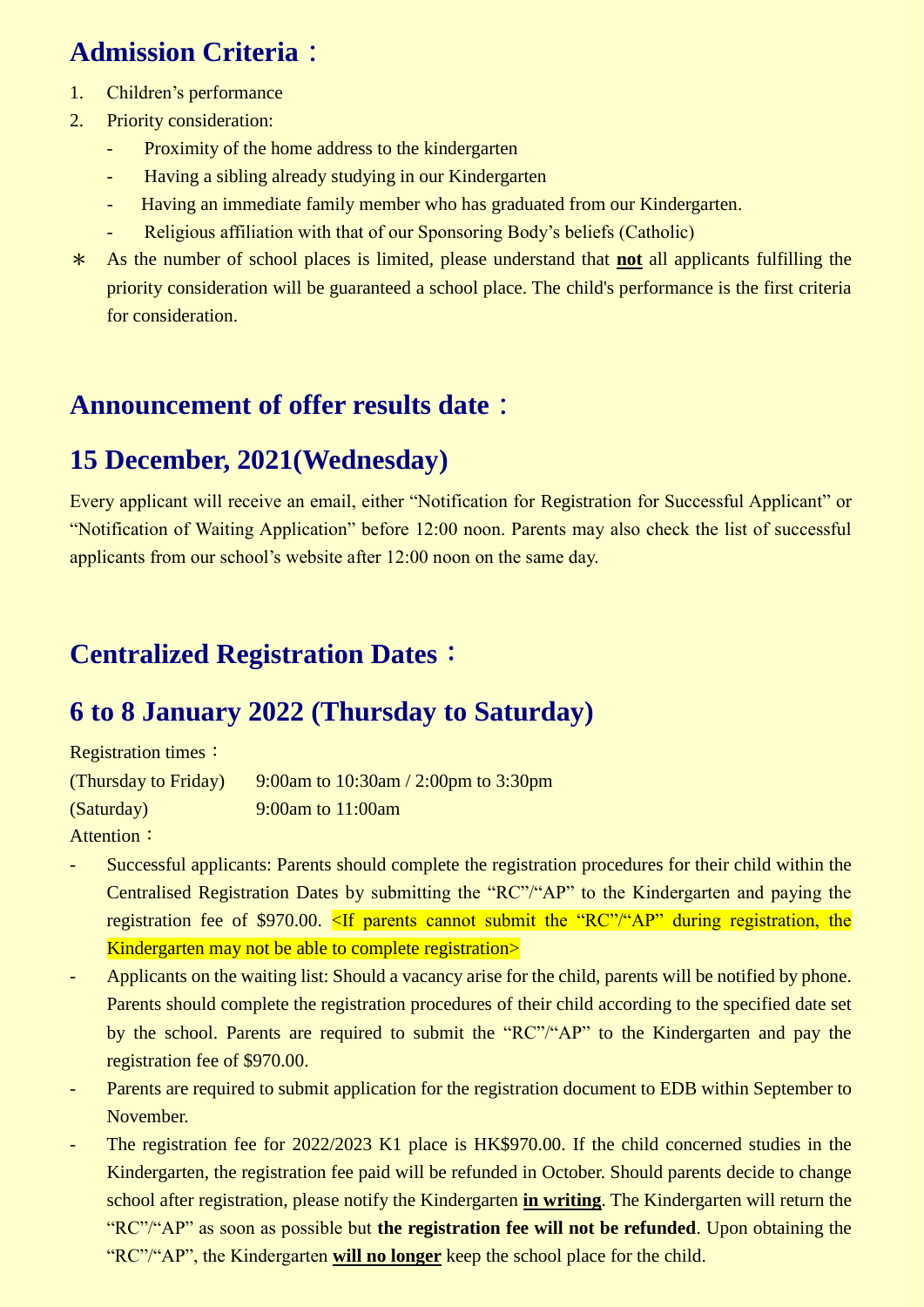## **Admission Criteria:**

- 1. Children's performance
- 2. Priority consideration:
	- Proximity of the home address to the kindergarten
	- Having a sibling already studying in our Kindergarten
	- Having an immediate family member who has graduated from our Kindergarten.
	- Religious affiliation with that of our Sponsoring Body's beliefs (Catholic)
- \* As the number of school places is limited, please understand that **not** all applicants fulfilling the priority consideration will be guaranteed a school place. The child's performance is the first criteria for consideration.

#### **Announcement of offer results date:**

### **15 December, 2021(Wednesday)**

Every applicant will receive an email, either "Notification for Registration for Successful Applicant" or "Notification of Waiting Application" before 12:00 noon. Parents may also check the list of successful applicants from our school's website after 12:00 noon on the same day.

### **Centralized Registration Dates**:

### **6 to 8 January 2022 (Thursday to Saturday)**

Registration times:

(Thursday to Friday) 9:00am to  $10:30$ am  $/$  2:00pm to 3:30pm (Saturday) 9:00am to 11:00am Attention:

- Successful applicants: Parents should complete the registration procedures for their child within the Centralised Registration Dates by submitting the "RC"/"AP" to the Kindergarten and paying the registration fee of \$970.00. <If parents cannot submit the "RC"/"AP" during registration, the Kindergarten may not be able to complete registration>
- Applicants on the waiting list: Should a vacancy arise for the child, parents will be notified by phone. Parents should complete the registration procedures of their child according to the specified date set by the school. Parents are required to submit the "RC"/"AP" to the Kindergarten and pay the registration fee of \$970.00.
- Parents are required to submit application for the registration document to EDB within September to November.
- The registration fee for 2022/2023 K1 place is HK\$970.00. If the child concerned studies in the Kindergarten, the registration fee paid will be refunded in October. Should parents decide to change school after registration, please notify the Kindergarten **in writing**. The Kindergarten will return the "RC"/"AP" as soon as possible but **the registration fee will not be refunded**. Upon obtaining the "RC"/"AP", the Kindergarten **will no longer** keep the school place for the child.